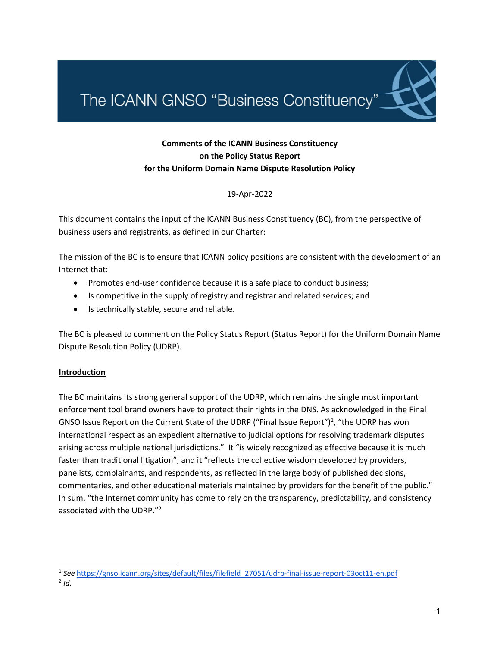The ICANN GNSO "Business Constituency"

# **Comments of the ICANN Business Constituency on the Policy Status Report for the Uniform Domain Name Dispute Resolution Policy**

19-Apr-2022

This document contains the input of the ICANN Business Constituency (BC), from the perspective of business users and registrants, as defined in our Charter:

The mission of the BC is to ensure that ICANN policy positions are consistent with the development of an Internet that:

- Promotes end-user confidence because it is a safe place to conduct business;
- Is competitive in the supply of registry and registrar and related services; and
- Is technically stable, secure and reliable.

The BC is pleased to comment on the Policy Status Report (Status Report) for the Uniform Domain Name Dispute Resolution Policy (UDRP).

### **Introduction**

The BC maintains its strong general support of the UDRP, which remains the single most important enforcement tool brand owners have to protect their rights in the DNS. As acknowledged in the Final GNSO Issue Report on the Current State of the UDRP ("Final Issue Report")<sup>1</sup>, "the UDRP has won international respect as an expedient alternative to judicial options for resolving trademark disputes arising across multiple national jurisdictions." It "is widely recognized as effective because it is much faster than traditional litigation", and it "reflects the collective wisdom developed by providers, panelists, complainants, and respondents, as reflected in the large body of published decisions, commentaries, and other educational materials maintained by providers for the benefit of the public." In sum, "the Internet community has come to rely on the transparency, predictability, and consistency associated with the UDRP."<sup>2</sup>

<sup>1</sup> *See* https://gnso.icann.org/sites/default/files/filefield\_27051/udrp-final-issue-report-03oct11-en.pdf

<sup>2</sup> *Id.*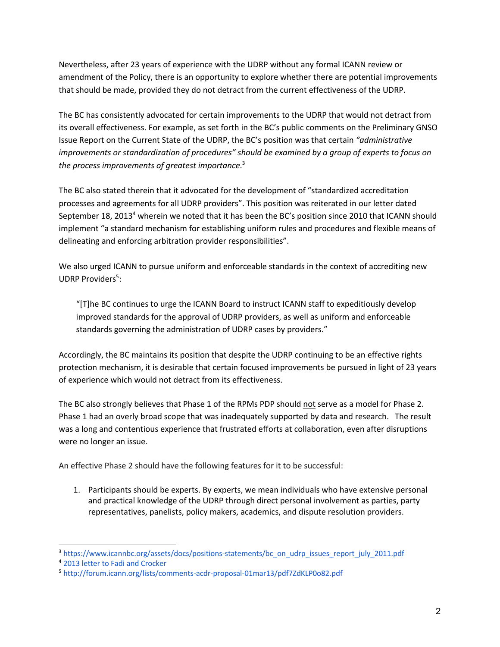Nevertheless, after 23 years of experience with the UDRP without any formal ICANN review or amendment of the Policy, there is an opportunity to explore whether there are potential improvements that should be made, provided they do not detract from the current effectiveness of the UDRP.

The BC has consistently advocated for certain improvements to the UDRP that would not detract from its overall effectiveness. For example, as set forth in the BC's public comments on the Preliminary GNSO Issue Report on the Current State of the UDRP, the BC's position was that certain *"administrative improvements or standardization of procedures" should be examined by a group of experts to focus on the process improvements of greatest importance*. 3

The BC also stated therein that it advocated for the development of "standardized accreditation processes and agreements for all UDRP providers". This position was reiterated in our letter dated September 18, 2013<sup>4</sup> wherein we noted that it has been the BC's position since 2010 that ICANN should implement "a standard mechanism for establishing uniform rules and procedures and flexible means of delineating and enforcing arbitration provider responsibilities".

We also urged ICANN to pursue uniform and enforceable standards in the context of accrediting new UDRP Providers<sup>5</sup>:

"[T]he BC continues to urge the ICANN Board to instruct ICANN staff to expeditiously develop improved standards for the approval of UDRP providers, as well as uniform and enforceable standards governing the administration of UDRP cases by providers."

Accordingly, the BC maintains its position that despite the UDRP continuing to be an effective rights protection mechanism, it is desirable that certain focused improvements be pursued in light of 23 years of experience which would not detract from its effectiveness.

The BC also strongly believes that Phase 1 of the RPMs PDP should not serve as a model for Phase 2. Phase 1 had an overly broad scope that was inadequately supported by data and research. The result was a long and contentious experience that frustrated efforts at collaboration, even after disruptions were no longer an issue.

An effective Phase 2 should have the following features for it to be successful:

1. Participants should be experts. By experts, we mean individuals who have extensive personal and practical knowledge of the UDRP through direct personal involvement as parties, party representatives, panelists, policy makers, academics, and dispute resolution providers.

<sup>&</sup>lt;sup>3</sup> https://www.icannbc.org/assets/docs/positions-statements/bc\_on\_udrp\_issues\_report\_july\_2011.pdf

<sup>4</sup> 2013 letter to Fadi and Crocker

<sup>5</sup> http://forum.icann.org/lists/comments-acdr-proposal-01mar13/pdf7ZdKLP0o82.pdf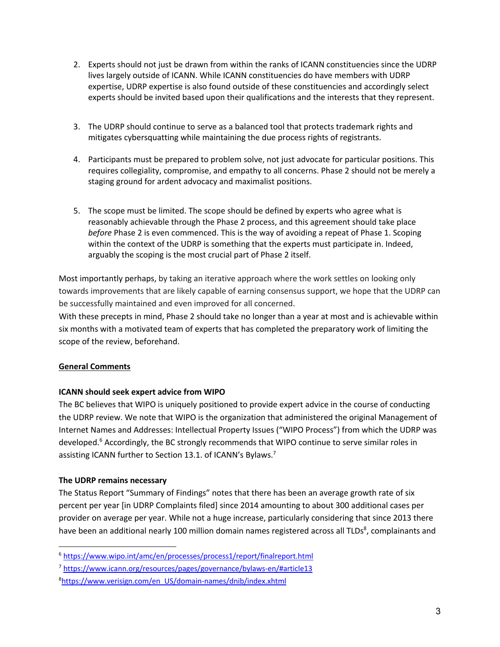- 2. Experts should not just be drawn from within the ranks of ICANN constituencies since the UDRP lives largely outside of ICANN. While ICANN constituencies do have members with UDRP expertise, UDRP expertise is also found outside of these constituencies and accordingly select experts should be invited based upon their qualifications and the interests that they represent.
- 3. The UDRP should continue to serve as a balanced tool that protects trademark rights and mitigates cybersquatting while maintaining the due process rights of registrants.
- 4. Participants must be prepared to problem solve, not just advocate for particular positions. This requires collegiality, compromise, and empathy to all concerns. Phase 2 should not be merely a staging ground for ardent advocacy and maximalist positions.
- 5. The scope must be limited. The scope should be defined by experts who agree what is reasonably achievable through the Phase 2 process, and this agreement should take place *before* Phase 2 is even commenced. This is the way of avoiding a repeat of Phase 1. Scoping within the context of the UDRP is something that the experts must participate in. Indeed, arguably the scoping is the most crucial part of Phase 2 itself.

Most importantly perhaps, by taking an iterative approach where the work settles on looking only towards improvements that are likely capable of earning consensus support, we hope that the UDRP can be successfully maintained and even improved for all concerned.

With these precepts in mind, Phase 2 should take no longer than a year at most and is achievable within six months with a motivated team of experts that has completed the preparatory work of limiting the scope of the review, beforehand.

# **General Comments**

# **ICANN should seek expert advice from WIPO**

The BC believes that WIPO is uniquely positioned to provide expert advice in the course of conducting the UDRP review. We note that WIPO is the organization that administered the original Management of Internet Names and Addresses: Intellectual Property Issues ("WIPO Process") from which the UDRP was developed.6 Accordingly, the BC strongly recommends that WIPO continue to serve similar roles in assisting ICANN further to Section 13.1. of ICANN's Bylaws.<sup>7</sup>

# **The UDRP remains necessary**

The Status Report "Summary of Findings" notes that there has been an average growth rate of six percent per year [in UDRP Complaints filed] since 2014 amounting to about 300 additional cases per provider on average per year. While not a huge increase, particularly considering that since 2013 there have been an additional nearly 100 million domain names registered across all TLDs<sup>8</sup>, complainants and

<sup>6</sup> https://www.wipo.int/amc/en/processes/process1/report/finalreport.html

<sup>7</sup> https://www.icann.org/resources/pages/governance/bylaws-en/#article13

<sup>&</sup>lt;sup>8</sup>https://www.verisign.com/en\_US/domain-names/dnib/index.xhtml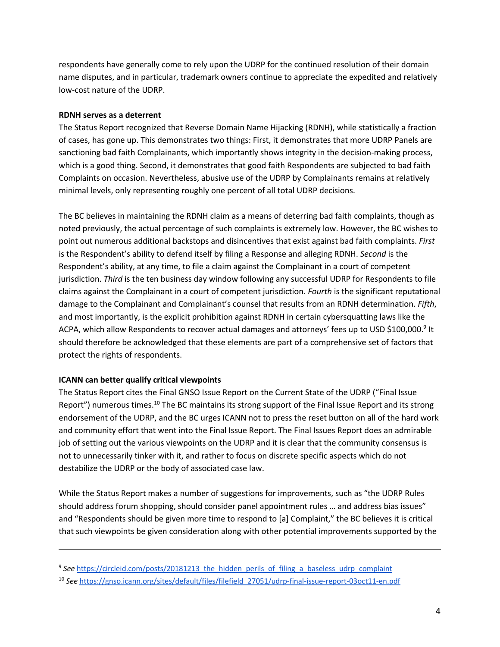respondents have generally come to rely upon the UDRP for the continued resolution of their domain name disputes, and in particular, trademark owners continue to appreciate the expedited and relatively low-cost nature of the UDRP.

### **RDNH serves as a deterrent**

The Status Report recognized that Reverse Domain Name Hijacking (RDNH), while statistically a fraction of cases, has gone up. This demonstrates two things: First, it demonstrates that more UDRP Panels are sanctioning bad faith Complainants, which importantly shows integrity in the decision-making process, which is a good thing. Second, it demonstrates that good faith Respondents are subjected to bad faith Complaints on occasion. Nevertheless, abusive use of the UDRP by Complainants remains at relatively minimal levels, only representing roughly one percent of all total UDRP decisions.

The BC believes in maintaining the RDNH claim as a means of deterring bad faith complaints, though as noted previously, the actual percentage of such complaints is extremely low. However, the BC wishes to point out numerous additional backstops and disincentives that exist against bad faith complaints. *First* is the Respondent's ability to defend itself by filing a Response and alleging RDNH. *Second* is the Respondent's ability, at any time, to file a claim against the Complainant in a court of competent jurisdiction. *Third* is the ten business day window following any successful UDRP for Respondents to file claims against the Complainant in a court of competent jurisdiction. *Fourth* is the significant reputational damage to the Complainant and Complainant's counsel that results from an RDNH determination. *Fifth*, and most importantly, is the explicit prohibition against RDNH in certain cybersquatting laws like the ACPA, which allow Respondents to recover actual damages and attorneys' fees up to USD \$100,000.9 It should therefore be acknowledged that these elements are part of a comprehensive set of factors that protect the rights of respondents.

### **ICANN can better qualify critical viewpoints**

The Status Report cites the Final GNSO Issue Report on the Current State of the UDRP ("Final Issue Report") numerous times.<sup>10</sup> The BC maintains its strong support of the Final Issue Report and its strong endorsement of the UDRP, and the BC urges ICANN not to press the reset button on all of the hard work and community effort that went into the Final Issue Report. The Final Issues Report does an admirable job of setting out the various viewpoints on the UDRP and it is clear that the community consensus is not to unnecessarily tinker with it, and rather to focus on discrete specific aspects which do not destabilize the UDRP or the body of associated case law.

While the Status Report makes a number of suggestions for improvements, such as "the UDRP Rules should address forum shopping, should consider panel appointment rules … and address bias issues" and "Respondents should be given more time to respond to [a] Complaint," the BC believes it is critical that such viewpoints be given consideration along with other potential improvements supported by the

<sup>&</sup>lt;sup>9</sup> See https://circleid.com/posts/20181213\_the\_hidden\_perils\_of\_filing\_a\_baseless\_udrp\_complaint

<sup>10</sup> *See* https://gnso.icann.org/sites/default/files/filefield\_27051/udrp-final-issue-report-03oct11-en.pdf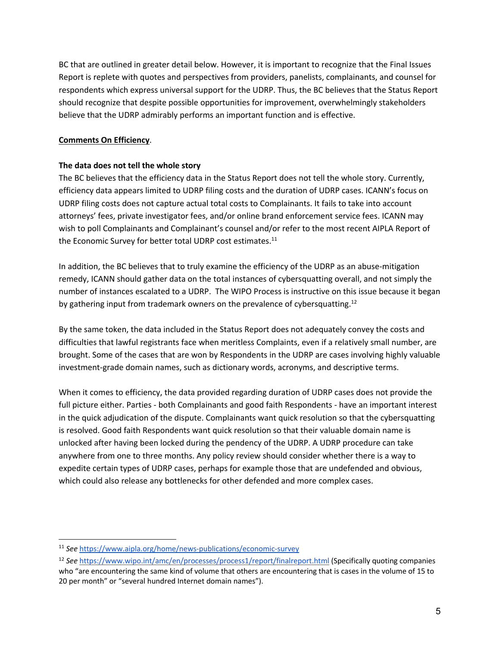BC that are outlined in greater detail below. However, it is important to recognize that the Final Issues Report is replete with quotes and perspectives from providers, panelists, complainants, and counsel for respondents which express universal support for the UDRP. Thus, the BC believes that the Status Report should recognize that despite possible opportunities for improvement, overwhelmingly stakeholders believe that the UDRP admirably performs an important function and is effective.

### **Comments On Efficiency**.

### **The data does not tell the whole story**

The BC believes that the efficiency data in the Status Report does not tell the whole story. Currently, efficiency data appears limited to UDRP filing costs and the duration of UDRP cases. ICANN's focus on UDRP filing costs does not capture actual total costs to Complainants. It fails to take into account attorneys' fees, private investigator fees, and/or online brand enforcement service fees. ICANN may wish to poll Complainants and Complainant's counsel and/or refer to the most recent AIPLA Report of the Economic Survey for better total UDRP cost estimates.<sup>11</sup>

In addition, the BC believes that to truly examine the efficiency of the UDRP as an abuse-mitigation remedy, ICANN should gather data on the total instances of cybersquatting overall, and not simply the number of instances escalated to a UDRP. The WIPO Process is instructive on this issue because it began by gathering input from trademark owners on the prevalence of cybersquatting.<sup>12</sup>

By the same token, the data included in the Status Report does not adequately convey the costs and difficulties that lawful registrants face when meritless Complaints, even if a relatively small number, are brought. Some of the cases that are won by Respondents in the UDRP are cases involving highly valuable investment-grade domain names, such as dictionary words, acronyms, and descriptive terms.

When it comes to efficiency, the data provided regarding duration of UDRP cases does not provide the full picture either. Parties - both Complainants and good faith Respondents - have an important interest in the quick adjudication of the dispute. Complainants want quick resolution so that the cybersquatting is resolved. Good faith Respondents want quick resolution so that their valuable domain name is unlocked after having been locked during the pendency of the UDRP. A UDRP procedure can take anywhere from one to three months. Any policy review should consider whether there is a way to expedite certain types of UDRP cases, perhaps for example those that are undefended and obvious, which could also release any bottlenecks for other defended and more complex cases.

<sup>11</sup> *See* https://www.aipla.org/home/news-publications/economic-survey

<sup>12</sup> *See* https://www.wipo.int/amc/en/processes/process1/report/finalreport.html (Specifically quoting companies who "are encountering the same kind of volume that others are encountering that is cases in the volume of 15 to 20 per month" or "several hundred Internet domain names").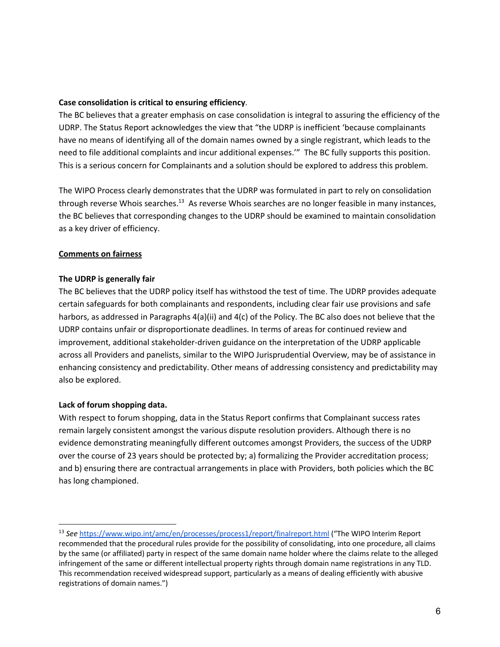### **Case consolidation is critical to ensuring efficiency**.

The BC believes that a greater emphasis on case consolidation is integral to assuring the efficiency of the UDRP. The Status Report acknowledges the view that "the UDRP is inefficient 'because complainants have no means of identifying all of the domain names owned by a single registrant, which leads to the need to file additional complaints and incur additional expenses.'" The BC fully supports this position. This is a serious concern for Complainants and a solution should be explored to address this problem.

The WIPO Process clearly demonstrates that the UDRP was formulated in part to rely on consolidation through reverse Whois searches.<sup>13</sup> As reverse Whois searches are no longer feasible in many instances, the BC believes that corresponding changes to the UDRP should be examined to maintain consolidation as a key driver of efficiency.

### **Comments on fairness**

### **The UDRP is generally fair**

The BC believes that the UDRP policy itself has withstood the test of time. The UDRP provides adequate certain safeguards for both complainants and respondents, including clear fair use provisions and safe harbors, as addressed in Paragraphs 4(a)(ii) and 4(c) of the Policy. The BC also does not believe that the UDRP contains unfair or disproportionate deadlines. In terms of areas for continued review and improvement, additional stakeholder-driven guidance on the interpretation of the UDRP applicable across all Providers and panelists, similar to the WIPO Jurisprudential Overview, may be of assistance in enhancing consistency and predictability. Other means of addressing consistency and predictability may also be explored.

### **Lack of forum shopping data.**

With respect to forum shopping, data in the Status Report confirms that Complainant success rates remain largely consistent amongst the various dispute resolution providers. Although there is no evidence demonstrating meaningfully different outcomes amongst Providers, the success of the UDRP over the course of 23 years should be protected by; a) formalizing the Provider accreditation process; and b) ensuring there are contractual arrangements in place with Providers, both policies which the BC has long championed.

<sup>13</sup> *See* https://www.wipo.int/amc/en/processes/process1/report/finalreport.html ("The WIPO Interim Report recommended that the procedural rules provide for the possibility of consolidating, into one procedure, all claims by the same (or affiliated) party in respect of the same domain name holder where the claims relate to the alleged infringement of the same or different intellectual property rights through domain name registrations in any TLD. This recommendation received widespread support, particularly as a means of dealing efficiently with abusive registrations of domain names.")